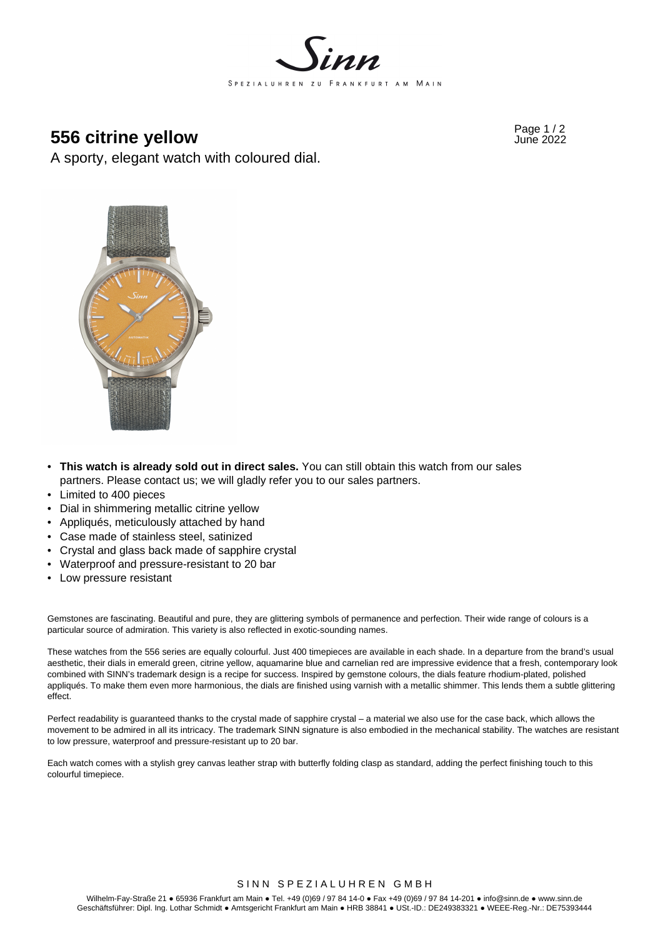

# **956 citrine yellow Page 1/2 556 citrine yellow**

A sporty, elegant watch with coloured dial.



- **This watch is already sold out in direct sales.** You can still obtain this watch from our sales partners. Please contact us; we will gladly refer you to our sales partners.
- Limited to 400 pieces
- Dial in shimmering metallic citrine yellow
- Appliqués, meticulously attached by hand
- Case made of stainless steel, satinized
- Crystal and glass back made of sapphire crystal
- Waterproof and pressure-resistant to 20 bar
- Low pressure resistant

Gemstones are fascinating. Beautiful and pure, they are glittering symbols of permanence and perfection. Their wide range of colours is a particular source of admiration. This variety is also reflected in exotic-sounding names.

These watches from the 556 series are equally colourful. Just 400 timepieces are available in each shade. In a departure from the brand's usual aesthetic, their dials in emerald green, citrine yellow, aquamarine blue and carnelian red are impressive evidence that a fresh, contemporary look combined with SINN's trademark design is a recipe for success. Inspired by gemstone colours, the dials feature rhodium-plated, polished appliqués. To make them even more harmonious, the dials are finished using varnish with a metallic shimmer. This lends them a subtle glittering effect.

Perfect readability is guaranteed thanks to the crystal made of sapphire crystal – a material we also use for the case back, which allows the movement to be admired in all its intricacy. The trademark SINN signature is also embodied in the mechanical stability. The watches are resistant to low pressure, waterproof and pressure-resistant up to 20 bar.

Each watch comes with a stylish grey canvas leather strap with butterfly folding clasp as standard, adding the perfect finishing touch to this colourful timepiece.

## SINN SPEZIALUHREN GMBH